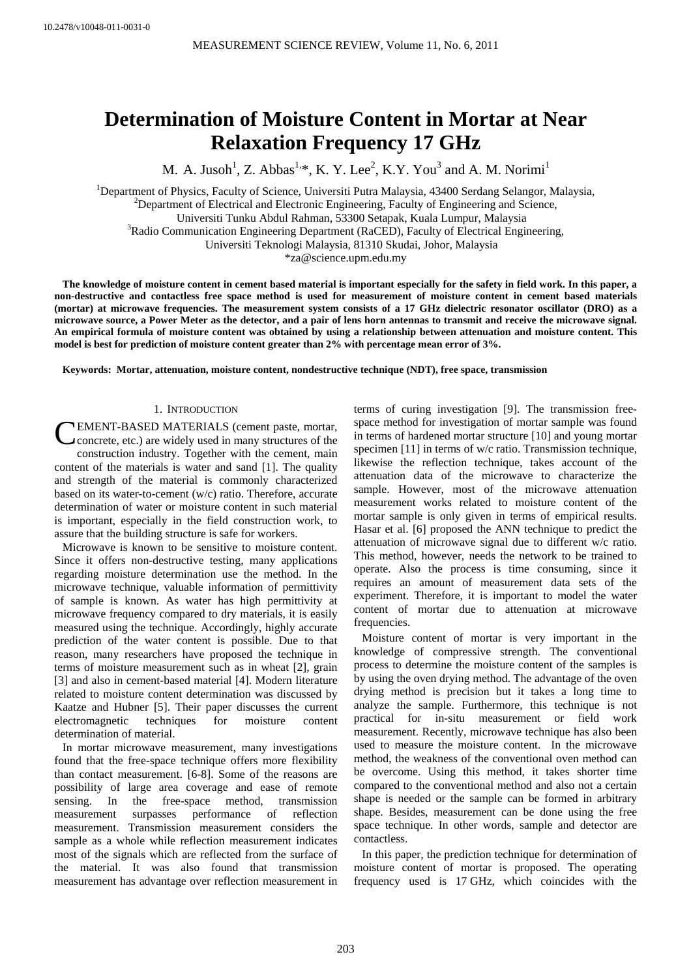# **Determination of Moisture Content in Mortar at Near Relaxation Frequency 17 GHz**

M. A. Jusoh<sup>1</sup>, Z. Abbas<sup>1,\*</sup>, K. Y. Lee<sup>2</sup>, K.Y. You<sup>3</sup> and A. M. Norimi<sup>1</sup>

<sup>1</sup>Department of Physics, Faculty of Science, Universiti Putra Malaysia, 43400 Serdang Selangor, Malaysia, <sup>2</sup>Department of Electrical and Electronic Engineering, Faculty of Engineering and Science, Universiti Tunku Abdul Rahman, 53300 Setapak, Kuala Lumpur, Malaysia 3 <sup>3</sup>Radio Communication Engineering Department (RaCED), Faculty of Electrical Engineering, Universiti Teknologi Malaysia, 81310 Skudai, Johor, Malaysia

\*za@science.upm.edu.my

**The knowledge of moisture content in cement based material is important especially for the safety in field work. In this paper, a non-destructive and contactless free space method is used for measurement of moisture content in cement based materials (mortar) at microwave frequencies. The measurement system consists of a 17 GHz dielectric resonator oscillator (DRO) as a microwave source, a Power Meter as the detector, and a pair of lens horn antennas to transmit and receive the microwave signal. An empirical formula of moisture content was obtained by using a relationship between attenuation and moisture content. This model is best for prediction of moisture content greater than 2% with percentage mean error of 3%.** 

**Keywords: Mortar, attenuation, moisture content, nondestructive technique (NDT), free space, transmission** 

#### 1. INTRODUCTION

CEMENT-BASED MATERIALS (cement paste, mortar,<br>Concrete, etc.) are widely used in many structures of the concrete, etc.) are widely used in many structures of the construction industry. Together with the cement, main content of the materials is water and sand [1]. The quality and strength of the material is commonly characterized based on its water-to-cement (w/c) ratio. Therefore, accurate determination of water or moisture content in such material is important, especially in the field construction work, to assure that the building structure is safe for workers.

Microwave is known to be sensitive to moisture content. Since it offers non-destructive testing, many applications regarding moisture determination use the method. In the microwave technique, valuable information of permittivity of sample is known. As water has high permittivity at microwave frequency compared to dry materials, it is easily measured using the technique. Accordingly, highly accurate prediction of the water content is possible. Due to that reason, many researchers have proposed the technique in terms of moisture measurement such as in wheat [2], grain [3] and also in cement-based material [4]. Modern literature related to moisture content determination was discussed by Kaatze and Hubner [5]. Their paper discusses the current electromagnetic techniques for moisture content determination of material.

In mortar microwave measurement, many investigations found that the free-space technique offers more flexibility than contact measurement. [6-8]. Some of the reasons are possibility of large area coverage and ease of remote sensing. In the free-space method, transmission measurement surpasses performance of reflection measurement. Transmission measurement considers the sample as a whole while reflection measurement indicates most of the signals which are reflected from the surface of the material. It was also found that transmission measurement has advantage over reflection measurement in

terms of curing investigation [9]. The transmission freespace method for investigation of mortar sample was found in terms of hardened mortar structure [10] and young mortar specimen [11] in terms of w/c ratio. Transmission technique, likewise the reflection technique, takes account of the attenuation data of the microwave to characterize the sample. However, most of the microwave attenuation measurement works related to moisture content of the mortar sample is only given in terms of empirical results. Hasar et al. [6] proposed the ANN technique to predict the attenuation of microwave signal due to different w/c ratio. This method, however, needs the network to be trained to operate. Also the process is time consuming, since it requires an amount of measurement data sets of the experiment. Therefore, it is important to model the water content of mortar due to attenuation at microwave frequencies.

Moisture content of mortar is very important in the knowledge of compressive strength. The conventional process to determine the moisture content of the samples is by using the oven drying method. The advantage of the oven drying method is precision but it takes a long time to analyze the sample. Furthermore, this technique is not practical for in-situ measurement or field work measurement. Recently, microwave technique has also been used to measure the moisture content. In the microwave method, the weakness of the conventional oven method can be overcome. Using this method, it takes shorter time compared to the conventional method and also not a certain shape is needed or the sample can be formed in arbitrary shape. Besides, measurement can be done using the free space technique. In other words, sample and detector are contactless.

In this paper, the prediction technique for determination of moisture content of mortar is proposed. The operating frequency used is 17 GHz, which coincides with the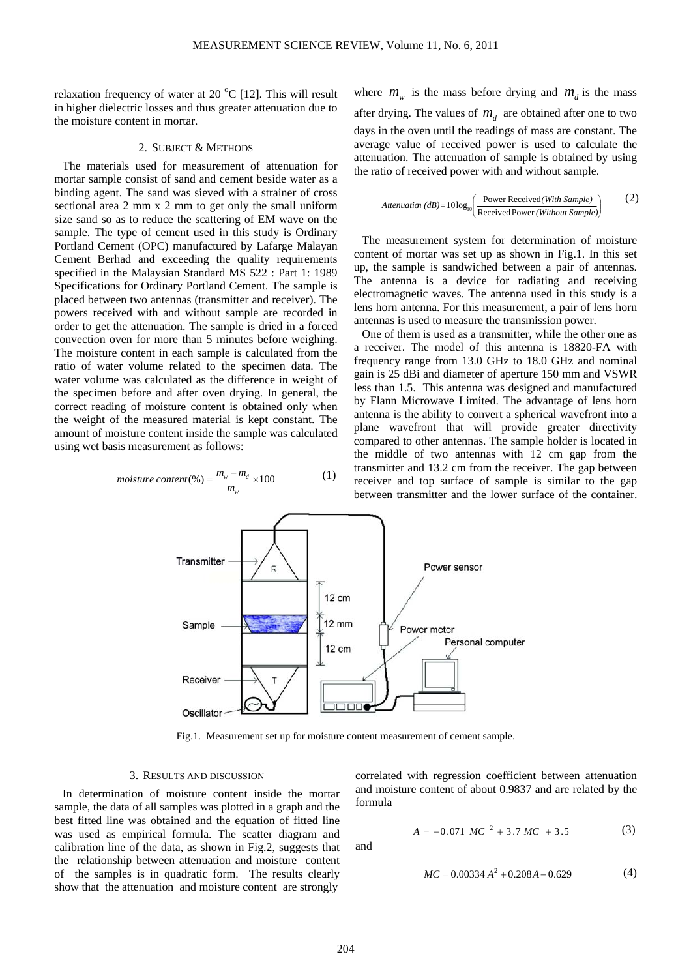relaxation frequency of water at 20  $^{\circ}$ C [12]. This will result in higher dielectric losses and thus greater attenuation due to the moisture content in mortar.

## 2. SUBJECT & METHODS

The materials used for measurement of attenuation for mortar sample consist of sand and cement beside water as a binding agent. The sand was sieved with a strainer of cross sectional area 2 mm x 2 mm to get only the small uniform size sand so as to reduce the scattering of EM wave on the sample. The type of cement used in this study is Ordinary Portland Cement (OPC) manufactured by Lafarge Malayan Cement Berhad and exceeding the quality requirements specified in the Malaysian Standard MS 522 : Part 1: 1989 Specifications for Ordinary Portland Cement. The sample is placed between two antennas (transmitter and receiver). The powers received with and without sample are recorded in order to get the attenuation. The sample is dried in a forced convection oven for more than 5 minutes before weighing. The moisture content in each sample is calculated from the ratio of water volume related to the specimen data. The water volume was calculated as the difference in weight of the specimen before and after oven drying. In general, the correct reading of moisture content is obtained only when the weight of the measured material is kept constant. The amount of moisture content inside the sample was calculated using wet basis measurement as follows:

$$
moisture content (\%) = \frac{m_w - m_d}{m_w} \times 100 \tag{1}
$$

where  $m_w$  is the mass before drying and  $m_d$  is the mass after drying. The values of  $m<sub>d</sub>$  are obtained after one to two days in the oven until the readings of mass are constant. The average value of received power is used to calculate the attenuation. The attenuation of sample is obtained by using the ratio of received power with and without sample.

$$
Attention (dB) = 10 \log_{10} \left( \frac{Power \text{Received} (With \text{ Sample})}{Received \text{Power} (Without \text{Sample})} \right) \tag{2}
$$

The measurement system for determination of moisture content of mortar was set up as shown in Fig.1. In this set up, the sample is sandwiched between a pair of antennas. The antenna is a device for radiating and receiving electromagnetic waves. The antenna used in this study is a lens horn antenna. For this measurement, a pair of lens horn antennas is used to measure the transmission power.

One of them is used as a transmitter, while the other one as a receiver. The model of this antenna is 18820-FA with frequency range from 13.0 GHz to 18.0 GHz and nominal gain is 25 dBi and diameter of aperture 150 mm and VSWR less than 1.5. This antenna was designed and manufactured by Flann Microwave Limited. The advantage of lens horn antenna is the ability to convert a spherical wavefront into a plane wavefront that will provide greater directivity compared to other antennas. The sample holder is located in the middle of two antennas with 12 cm gap from the transmitter and 13.2 cm from the receiver. The gap between receiver and top surface of sample is similar to the gap between transmitter and the lower surface of the container.



Fig.1. Measurement set up for moisture content measurement of cement sample.

## 3. RESULTS AND DISCUSSION

In determination of moisture content inside the mortar sample, the data of all samples was plotted in a graph and the best fitted line was obtained and the equation of fitted line was used as empirical formula. The scatter diagram and calibration line of the data, as shown in Fig.2, suggests that the relationship between attenuation and moisture content of the samples is in quadratic form. The results clearly show that the attenuation and moisture content are strongly

correlated with regression coefficient between attenuation and moisture content of about 0.9837 and are related by the formula

$$
A = -0.071 \, MC^{-2} + 3.7 \, MC + 3.5 \tag{3}
$$

and

$$
MC = 0.00334 A^2 + 0.208A - 0.629
$$
 (4)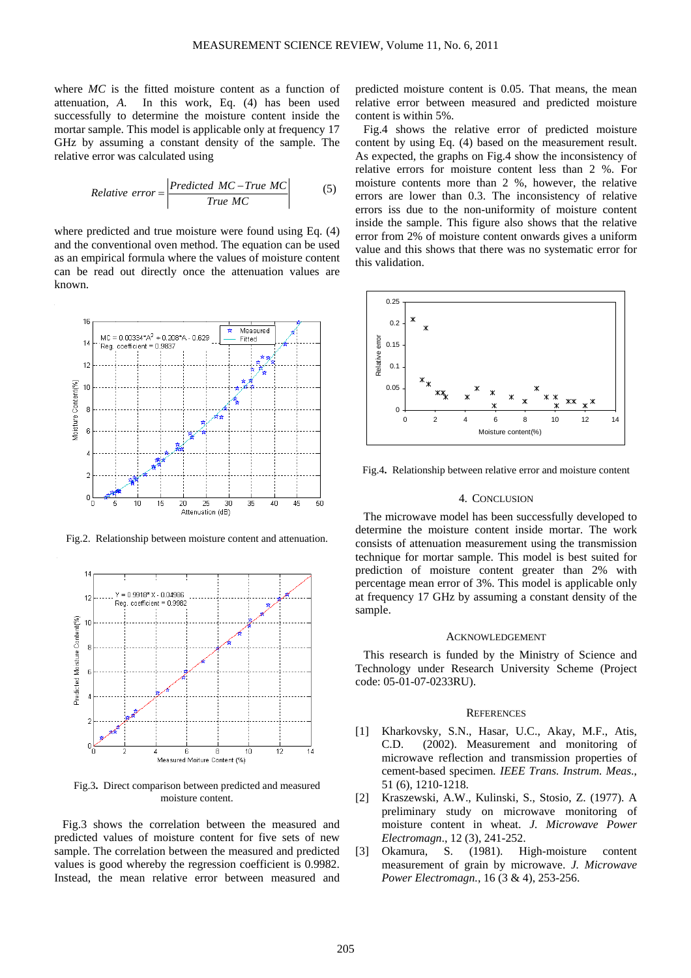where *MC* is the fitted moisture content as a function of attenuation, *A*. In this work, Eq. (4) has been used successfully to determine the moisture content inside the mortar sample. This model is applicable only at frequency 17 GHz by assuming a constant density of the sample. The relative error was calculated using

$$
Relative\ error = \frac{Predicted\ MC - True\ MC}{True\ MC}
$$
 (5)

where predicted and true moisture were found using Eq.  $(4)$ and the conventional oven method. The equation can be used as an empirical formula where the values of moisture content can be read out directly once the attenuation values are known.



Fig.2. Relationship between moisture content and attenuation.



Fig.3**.** Direct comparison between predicted and measured moisture content.

Fig.3 shows the correlation between the measured and predicted values of moisture content for five sets of new sample. The correlation between the measured and predicted values is good whereby the regression coefficient is 0.9982. Instead, the mean relative error between measured and predicted moisture content is 0.05. That means, the mean relative error between measured and predicted moisture content is within 5%.

Fig.4 shows the relative error of predicted moisture content by using Eq. (4) based on the measurement result. As expected, the graphs on Fig.4 show the inconsistency of relative errors for moisture content less than 2 %. For moisture contents more than 2 %, however, the relative errors are lower than 0.3. The inconsistency of relative errors iss due to the non-uniformity of moisture content inside the sample. This figure also shows that the relative error from 2% of moisture content onwards gives a uniform value and this shows that there was no systematic error for this validation.



Fig.4**.** Relationship between relative error and moisture content

## 4. CONCLUSION

The microwave model has been successfully developed to determine the moisture content inside mortar. The work consists of attenuation measurement using the transmission technique for mortar sample. This model is best suited for prediction of moisture content greater than 2% with percentage mean error of 3%. This model is applicable only at frequency 17 GHz by assuming a constant density of the sample.

#### ACKNOWLEDGEMENT

This research is funded by the Ministry of Science and Technology under Research University Scheme (Project code: 05-01-07-0233RU).

#### **REFERENCES**

- [1] Kharkovsky, S.N., Hasar, U.C., Akay, M.F., Atis, C.D. (2002). Measurement and monitoring of microwave reflection and transmission properties of cement-based specimen*. IEEE Trans. Instrum. Meas*., 51 (6), 1210-1218.
- [2] Kraszewski, A.W., Kulinski, S., Stosio, Z. (1977). A preliminary study on microwave monitoring of moisture content in wheat. *J. Microwave Power Electromagn*., 12 (3), 241-252.
- [3] Okamura, S. (1981). High-moisture content measurement of grain by microwave. *J. Microwave Power Electromagn.*, 16 (3 & 4), 253-256.